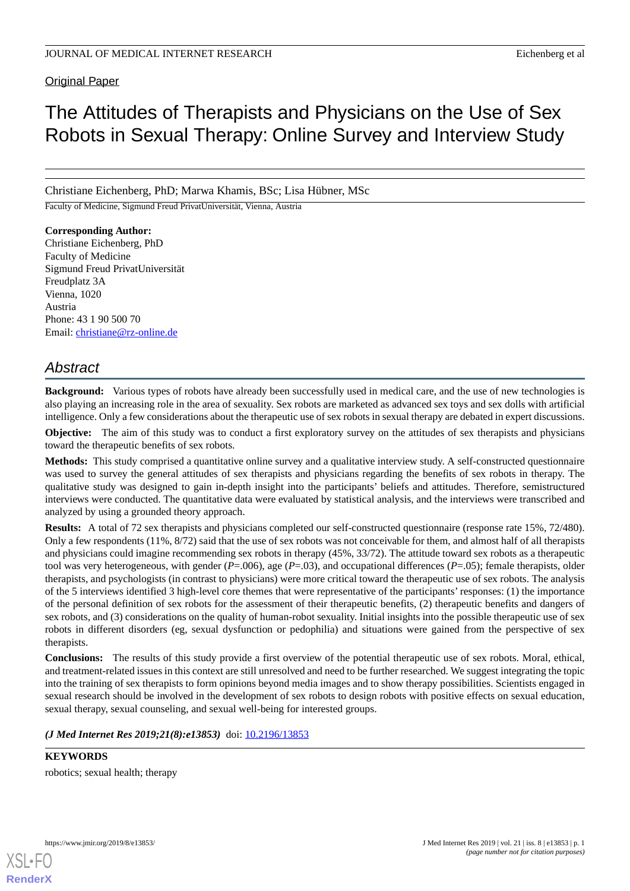Original Paper

# The Attitudes of Therapists and Physicians on the Use of Sex Robots in Sexual Therapy: Online Survey and Interview Study

Christiane Eichenberg, PhD; Marwa Khamis, BSc; Lisa Hübner, MSc

Faculty of Medicine, Sigmund Freud PrivatUniversität, Vienna, Austria

**Corresponding Author:** Christiane Eichenberg, PhD Faculty of Medicine Sigmund Freud PrivatUniversität Freudplatz 3A Vienna, 1020 Austria Phone: 43 1 90 500 70 Email: [christiane@rz-online.de](mailto:christiane@rz-online.de)

# *Abstract*

**Background:** Various types of robots have already been successfully used in medical care, and the use of new technologies is also playing an increasing role in the area of sexuality. Sex robots are marketed as advanced sex toys and sex dolls with artificial intelligence. Only a few considerations about the therapeutic use of sex robots in sexual therapy are debated in expert discussions.

**Objective:** The aim of this study was to conduct a first exploratory survey on the attitudes of sex therapists and physicians toward the therapeutic benefits of sex robots.

**Methods:** This study comprised a quantitative online survey and a qualitative interview study. A self-constructed questionnaire was used to survey the general attitudes of sex therapists and physicians regarding the benefits of sex robots in therapy. The qualitative study was designed to gain in-depth insight into the participants' beliefs and attitudes. Therefore, semistructured interviews were conducted. The quantitative data were evaluated by statistical analysis, and the interviews were transcribed and analyzed by using a grounded theory approach.

**Results:** A total of 72 sex therapists and physicians completed our self-constructed questionnaire (response rate 15%, 72/480). Only a few respondents (11%, 8/72) said that the use of sex robots was not conceivable for them, and almost half of all therapists and physicians could imagine recommending sex robots in therapy (45%, 33/72). The attitude toward sex robots as a therapeutic tool was very heterogeneous, with gender (*P*=.006), age (*P*=.03), and occupational differences (*P*=.05); female therapists, older therapists, and psychologists (in contrast to physicians) were more critical toward the therapeutic use of sex robots. The analysis of the 5 interviews identified 3 high-level core themes that were representative of the participants' responses: (1) the importance of the personal definition of sex robots for the assessment of their therapeutic benefits, (2) therapeutic benefits and dangers of sex robots, and (3) considerations on the quality of human-robot sexuality. Initial insights into the possible therapeutic use of sex robots in different disorders (eg, sexual dysfunction or pedophilia) and situations were gained from the perspective of sex therapists.

**Conclusions:** The results of this study provide a first overview of the potential therapeutic use of sex robots. Moral, ethical, and treatment-related issues in this context are still unresolved and need to be further researched. We suggest integrating the topic into the training of sex therapists to form opinions beyond media images and to show therapy possibilities. Scientists engaged in sexual research should be involved in the development of sex robots to design robots with positive effects on sexual education, sexual therapy, sexual counseling, and sexual well-being for interested groups.

(*J Med Internet Res 2019;21(8):e13853*) doi: **[10.2196/13853](http://dx.doi.org/10.2196/13853)** 

**KEYWORDS** robotics; sexual health; therapy

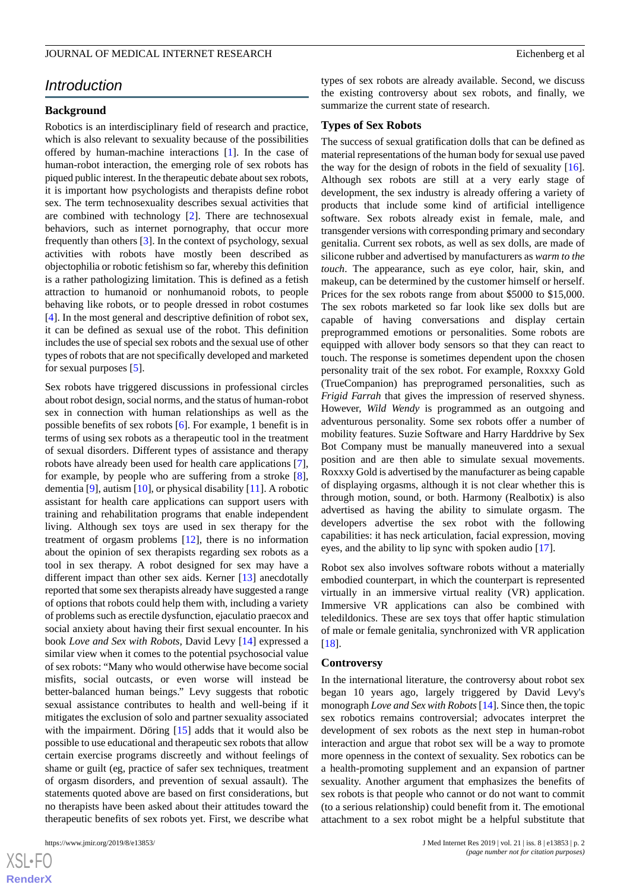# *Introduction*

### **Background**

Robotics is an interdisciplinary field of research and practice, which is also relevant to sexuality because of the possibilities offered by human-machine interactions [\[1](#page-13-0)]. In the case of human-robot interaction, the emerging role of sex robots has piqued public interest. In the therapeutic debate about sex robots, it is important how psychologists and therapists define robot sex. The term technosexuality describes sexual activities that are combined with technology [[2\]](#page-13-1). There are technosexual behaviors, such as internet pornography, that occur more frequently than others [[3](#page-13-2)]. In the context of psychology, sexual activities with robots have mostly been described as objectophilia or robotic fetishism so far, whereby this definition is a rather pathologizing limitation. This is defined as a fetish attraction to humanoid or nonhumanoid robots, to people behaving like robots, or to people dressed in robot costumes [[4\]](#page-13-3). In the most general and descriptive definition of robot sex, it can be defined as sexual use of the robot. This definition includes the use of special sex robots and the sexual use of other types of robots that are not specifically developed and marketed for sexual purposes [[5\]](#page-13-4).

Sex robots have triggered discussions in professional circles about robot design, social norms, and the status of human-robot sex in connection with human relationships as well as the possible benefits of sex robots [[6\]](#page-13-5). For example, 1 benefit is in terms of using sex robots as a therapeutic tool in the treatment of sexual disorders. Different types of assistance and therapy robots have already been used for health care applications [[7\]](#page-13-6), for example, by people who are suffering from a stroke [[8\]](#page-13-7), dementia [[9\]](#page-14-0), autism [[10\]](#page-14-1), or physical disability [\[11](#page-14-2)]. A robotic assistant for health care applications can support users with training and rehabilitation programs that enable independent living. Although sex toys are used in sex therapy for the treatment of orgasm problems [\[12](#page-14-3)], there is no information about the opinion of sex therapists regarding sex robots as a tool in sex therapy. A robot designed for sex may have a different impact than other sex aids. Kerner [[13\]](#page-14-4) anecdotally reported that some sex therapists already have suggested a range of options that robots could help them with, including a variety of problems such as erectile dysfunction, ejaculatio praecox and social anxiety about having their first sexual encounter. In his book *Love and Sex with Robots,* David Levy [[14\]](#page-14-5) expressed a similar view when it comes to the potential psychosocial value of sex robots: "Many who would otherwise have become social misfits, social outcasts, or even worse will instead be better-balanced human beings." Levy suggests that robotic sexual assistance contributes to health and well-being if it mitigates the exclusion of solo and partner sexuality associated with the impairment. Döring [\[15](#page-14-6)] adds that it would also be possible to use educational and therapeutic sex robots that allow certain exercise programs discreetly and without feelings of shame or guilt (eg, practice of safer sex techniques, treatment of orgasm disorders, and prevention of sexual assault). The statements quoted above are based on first considerations, but no therapists have been asked about their attitudes toward the therapeutic benefits of sex robots yet. First, we describe what

 $XSI - F($ **[RenderX](http://www.renderx.com/)** types of sex robots are already available. Second, we discuss the existing controversy about sex robots, and finally, we summarize the current state of research.

#### **Types of Sex Robots**

The success of sexual gratification dolls that can be defined as material representations of the human body for sexual use paved the way for the design of robots in the field of sexuality [[16\]](#page-14-7). Although sex robots are still at a very early stage of development, the sex industry is already offering a variety of products that include some kind of artificial intelligence software. Sex robots already exist in female, male, and transgender versions with corresponding primary and secondary genitalia. Current sex robots, as well as sex dolls, are made of silicone rubber and advertised by manufacturers as *warm to the touch*. The appearance, such as eye color, hair, skin, and makeup, can be determined by the customer himself or herself. Prices for the sex robots range from about \$5000 to \$15,000. The sex robots marketed so far look like sex dolls but are capable of having conversations and display certain preprogrammed emotions or personalities. Some robots are equipped with allover body sensors so that they can react to touch. The response is sometimes dependent upon the chosen personality trait of the sex robot. For example, Roxxxy Gold (TrueCompanion) has preprogramed personalities, such as *Frigid Farrah* that gives the impression of reserved shyness. However, *Wild Wendy* is programmed as an outgoing and adventurous personality. Some sex robots offer a number of mobility features. Suzie Software and Harry Harddrive by Sex Bot Company must be manually maneuvered into a sexual position and are then able to simulate sexual movements. Roxxxy Gold is advertised by the manufacturer as being capable of displaying orgasms, although it is not clear whether this is through motion, sound, or both. Harmony (Realbotix) is also advertised as having the ability to simulate orgasm. The developers advertise the sex robot with the following capabilities: it has neck articulation, facial expression, moving eyes, and the ability to lip sync with spoken audio [\[17](#page-14-8)].

Robot sex also involves software robots without a materially embodied counterpart, in which the counterpart is represented virtually in an immersive virtual reality (VR) application. Immersive VR applications can also be combined with teledildonics. These are sex toys that offer haptic stimulation of male or female genitalia, synchronized with VR application [[18\]](#page-14-9).

#### **Controversy**

In the international literature, the controversy about robot sex began 10 years ago, largely triggered by David Levy's monograph *Love and Sex with Robots*[[14\]](#page-14-5). Since then, the topic sex robotics remains controversial; advocates interpret the development of sex robots as the next step in human-robot interaction and argue that robot sex will be a way to promote more openness in the context of sexuality. Sex robotics can be a health-promoting supplement and an expansion of partner sexuality. Another argument that emphasizes the benefits of sex robots is that people who cannot or do not want to commit (to a serious relationship) could benefit from it. The emotional attachment to a sex robot might be a helpful substitute that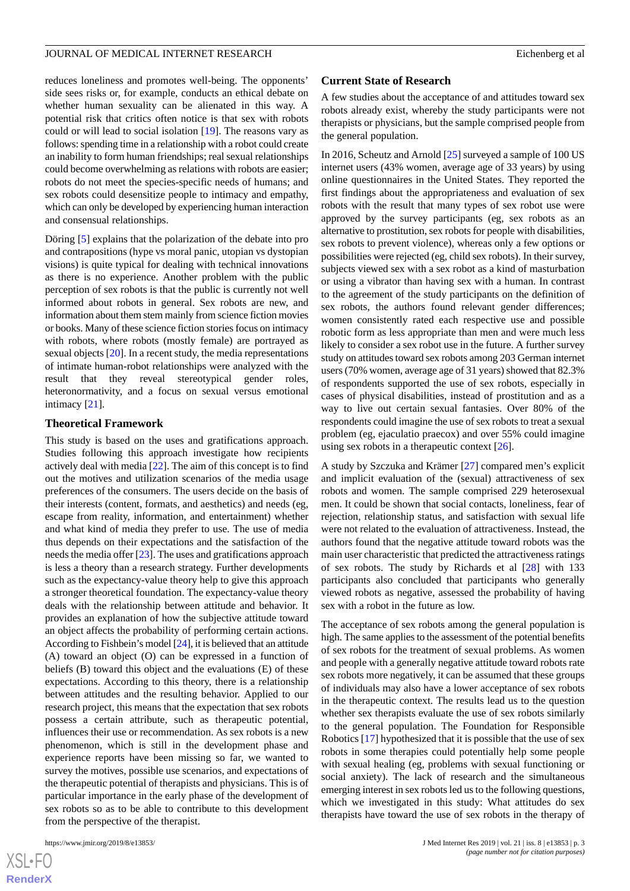reduces loneliness and promotes well-being. The opponents' side sees risks or, for example, conducts an ethical debate on whether human sexuality can be alienated in this way. A potential risk that critics often notice is that sex with robots could or will lead to social isolation [\[19](#page-14-10)]. The reasons vary as follows: spending time in a relationship with a robot could create an inability to form human friendships; real sexual relationships could become overwhelming as relations with robots are easier; robots do not meet the species-specific needs of humans; and sex robots could desensitize people to intimacy and empathy, which can only be developed by experiencing human interaction and consensual relationships.

Döring [[5\]](#page-13-4) explains that the polarization of the debate into pro and contrapositions (hype vs moral panic, utopian vs dystopian visions) is quite typical for dealing with technical innovations as there is no experience. Another problem with the public perception of sex robots is that the public is currently not well informed about robots in general. Sex robots are new, and information about them stem mainly from science fiction movies or books. Many of these science fiction stories focus on intimacy with robots, where robots (mostly female) are portrayed as sexual objects [[20\]](#page-14-11). In a recent study, the media representations of intimate human-robot relationships were analyzed with the result that they reveal stereotypical gender roles, heteronormativity, and a focus on sexual versus emotional intimacy [\[21](#page-14-12)].

#### **Theoretical Framework**

This study is based on the uses and gratifications approach. Studies following this approach investigate how recipients actively deal with media [\[22](#page-14-13)]. The aim of this concept is to find out the motives and utilization scenarios of the media usage preferences of the consumers. The users decide on the basis of their interests (content, formats, and aesthetics) and needs (eg, escape from reality, information, and entertainment) whether and what kind of media they prefer to use. The use of media thus depends on their expectations and the satisfaction of the needs the media offer [\[23](#page-14-14)]. The uses and gratifications approach is less a theory than a research strategy. Further developments such as the expectancy-value theory help to give this approach a stronger theoretical foundation. The expectancy-value theory deals with the relationship between attitude and behavior. It provides an explanation of how the subjective attitude toward an object affects the probability of performing certain actions. According to Fishbein's model [\[24\]](#page-14-15), it is believed that an attitude (A) toward an object (O) can be expressed in a function of beliefs (B) toward this object and the evaluations (E) of these expectations. According to this theory, there is a relationship between attitudes and the resulting behavior. Applied to our research project, this means that the expectation that sex robots possess a certain attribute, such as therapeutic potential, influences their use or recommendation. As sex robots is a new phenomenon, which is still in the development phase and experience reports have been missing so far, we wanted to survey the motives, possible use scenarios, and expectations of the therapeutic potential of therapists and physicians. This is of particular importance in the early phase of the development of sex robots so as to be able to contribute to this development from the perspective of the therapist.

[XSL](http://www.w3.org/Style/XSL)•FO **[RenderX](http://www.renderx.com/)**

#### **Current State of Research**

A few studies about the acceptance of and attitudes toward sex robots already exist, whereby the study participants were not therapists or physicians, but the sample comprised people from the general population.

In 2016, Scheutz and Arnold [\[25](#page-14-16)] surveyed a sample of 100 US internet users (43% women, average age of 33 years) by using online questionnaires in the United States. They reported the first findings about the appropriateness and evaluation of sex robots with the result that many types of sex robot use were approved by the survey participants (eg, sex robots as an alternative to prostitution, sex robots for people with disabilities, sex robots to prevent violence), whereas only a few options or possibilities were rejected (eg, child sex robots). In their survey, subjects viewed sex with a sex robot as a kind of masturbation or using a vibrator than having sex with a human. In contrast to the agreement of the study participants on the definition of sex robots, the authors found relevant gender differences; women consistently rated each respective use and possible robotic form as less appropriate than men and were much less likely to consider a sex robot use in the future. A further survey study on attitudes toward sex robots among 203 German internet users (70% women, average age of 31 years) showed that 82.3% of respondents supported the use of sex robots, especially in cases of physical disabilities, instead of prostitution and as a way to live out certain sexual fantasies. Over 80% of the respondents could imagine the use of sex robots to treat a sexual problem (eg, ejaculatio praecox) and over 55% could imagine using sex robots in a therapeutic context [\[26](#page-14-17)].

A study by Szczuka and Krämer [[27\]](#page-14-18) compared men's explicit and implicit evaluation of the (sexual) attractiveness of sex robots and women. The sample comprised 229 heterosexual men. It could be shown that social contacts, loneliness, fear of rejection, relationship status, and satisfaction with sexual life were not related to the evaluation of attractiveness. Instead, the authors found that the negative attitude toward robots was the main user characteristic that predicted the attractiveness ratings of sex robots. The study by Richards et al [[28\]](#page-14-19) with 133 participants also concluded that participants who generally viewed robots as negative, assessed the probability of having sex with a robot in the future as low.

The acceptance of sex robots among the general population is high. The same applies to the assessment of the potential benefits of sex robots for the treatment of sexual problems. As women and people with a generally negative attitude toward robots rate sex robots more negatively, it can be assumed that these groups of individuals may also have a lower acceptance of sex robots in the therapeutic context. The results lead us to the question whether sex therapists evaluate the use of sex robots similarly to the general population. The Foundation for Responsible Robotics [\[17](#page-14-8)] hypothesized that it is possible that the use of sex robots in some therapies could potentially help some people with sexual healing (eg, problems with sexual functioning or social anxiety). The lack of research and the simultaneous emerging interest in sex robots led us to the following questions, which we investigated in this study: What attitudes do sex therapists have toward the use of sex robots in the therapy of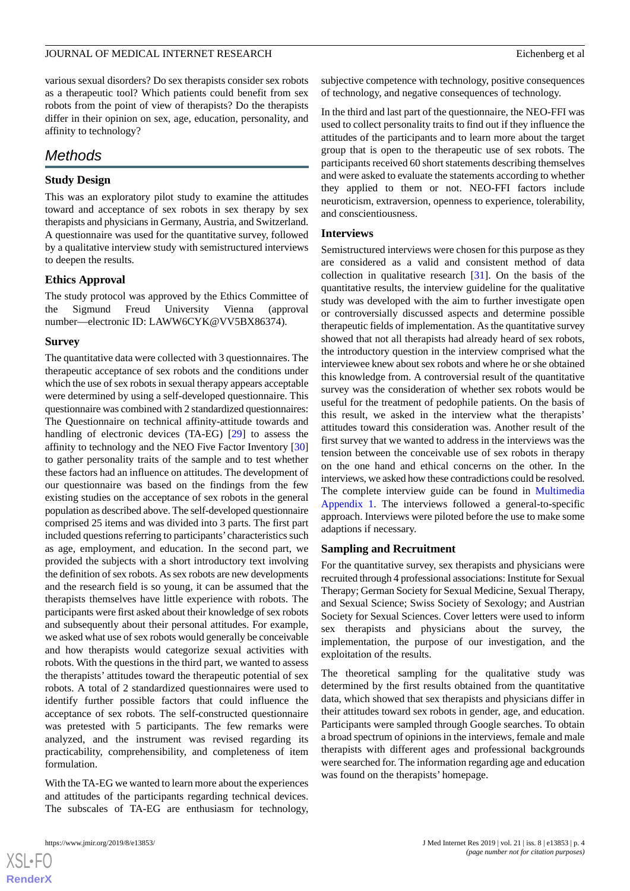various sexual disorders? Do sex therapists consider sex robots as a therapeutic tool? Which patients could benefit from sex robots from the point of view of therapists? Do the therapists differ in their opinion on sex, age, education, personality, and affinity to technology?

# *Methods*

# **Study Design**

This was an exploratory pilot study to examine the attitudes toward and acceptance of sex robots in sex therapy by sex therapists and physicians in Germany, Austria, and Switzerland. A questionnaire was used for the quantitative survey, followed by a qualitative interview study with semistructured interviews to deepen the results.

# **Ethics Approval**

The study protocol was approved by the Ethics Committee of the Sigmund Freud University Vienna (approval number—electronic ID: LAWW6CYK@VV5BX86374).

# **Survey**

The quantitative data were collected with 3 questionnaires. The therapeutic acceptance of sex robots and the conditions under which the use of sex robots in sexual therapy appears acceptable were determined by using a self-developed questionnaire. This questionnaire was combined with 2 standardized questionnaires: The Questionnaire on technical affinity-attitude towards and handling of electronic devices (TA-EG) [[29\]](#page-14-20) to assess the affinity to technology and the NEO Five Factor Inventory [\[30](#page-14-21)] to gather personality traits of the sample and to test whether these factors had an influence on attitudes. The development of our questionnaire was based on the findings from the few existing studies on the acceptance of sex robots in the general population as described above. The self-developed questionnaire comprised 25 items and was divided into 3 parts. The first part included questions referring to participants' characteristics such as age, employment, and education. In the second part, we provided the subjects with a short introductory text involving the definition of sex robots. As sex robots are new developments and the research field is so young, it can be assumed that the therapists themselves have little experience with robots. The participants were first asked about their knowledge of sex robots and subsequently about their personal attitudes. For example, we asked what use of sex robots would generally be conceivable and how therapists would categorize sexual activities with robots. With the questions in the third part, we wanted to assess the therapists' attitudes toward the therapeutic potential of sex robots. A total of 2 standardized questionnaires were used to identify further possible factors that could influence the acceptance of sex robots. The self-constructed questionnaire was pretested with 5 participants. The few remarks were analyzed, and the instrument was revised regarding its practicability, comprehensibility, and completeness of item formulation.

With the TA-EG we wanted to learn more about the experiences and attitudes of the participants regarding technical devices. The subscales of TA-EG are enthusiasm for technology,

subjective competence with technology, positive consequences of technology, and negative consequences of technology.

In the third and last part of the questionnaire, the NEO-FFI was used to collect personality traits to find out if they influence the attitudes of the participants and to learn more about the target group that is open to the therapeutic use of sex robots. The participants received 60 short statements describing themselves and were asked to evaluate the statements according to whether they applied to them or not. NEO-FFI factors include neuroticism, extraversion, openness to experience, tolerability, and conscientiousness.

# **Interviews**

Semistructured interviews were chosen for this purpose as they are considered as a valid and consistent method of data collection in qualitative research [\[31](#page-14-22)]. On the basis of the quantitative results, the interview guideline for the qualitative study was developed with the aim to further investigate open or controversially discussed aspects and determine possible therapeutic fields of implementation. As the quantitative survey showed that not all therapists had already heard of sex robots, the introductory question in the interview comprised what the interviewee knew about sex robots and where he or she obtained this knowledge from. A controversial result of the quantitative survey was the consideration of whether sex robots would be useful for the treatment of pedophile patients. On the basis of this result, we asked in the interview what the therapists' attitudes toward this consideration was. Another result of the first survey that we wanted to address in the interviews was the tension between the conceivable use of sex robots in therapy on the one hand and ethical concerns on the other. In the interviews, we asked how these contradictions could be resolved. The complete interview guide can be found in [Multimedia](#page-13-8) [Appendix 1](#page-13-8). The interviews followed a general-to-specific approach. Interviews were piloted before the use to make some adaptions if necessary.

# **Sampling and Recruitment**

For the quantitative survey, sex therapists and physicians were recruited through 4 professional associations: Institute for Sexual Therapy; German Society for Sexual Medicine, Sexual Therapy, and Sexual Science; Swiss Society of Sexology; and Austrian Society for Sexual Sciences. Cover letters were used to inform sex therapists and physicians about the survey, the implementation, the purpose of our investigation, and the exploitation of the results.

The theoretical sampling for the qualitative study was determined by the first results obtained from the quantitative data, which showed that sex therapists and physicians differ in their attitudes toward sex robots in gender, age, and education. Participants were sampled through Google searches. To obtain a broad spectrum of opinions in the interviews, female and male therapists with different ages and professional backgrounds were searched for. The information regarding age and education was found on the therapists' homepage.

```
XSI - F(RenderX
```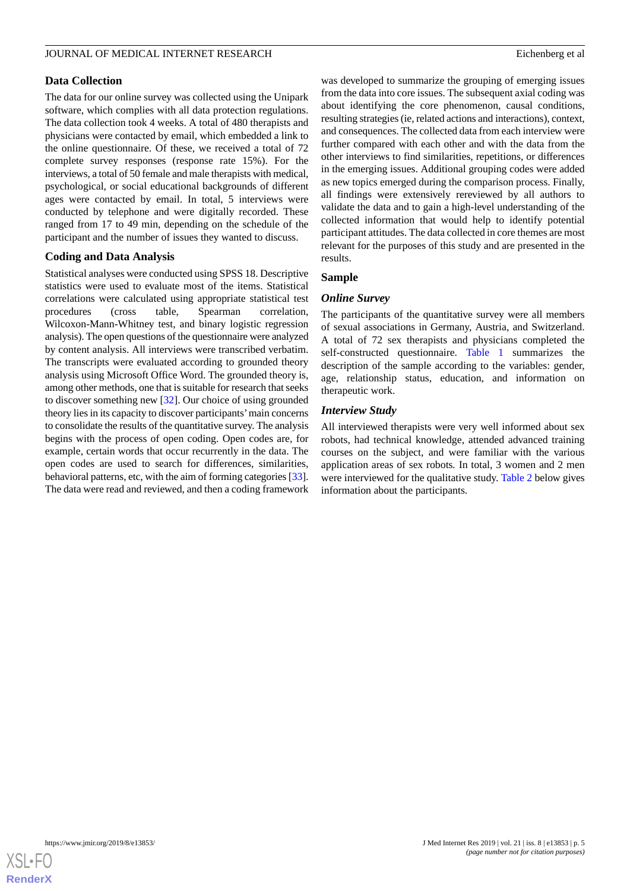# **Data Collection**

The data for our online survey was collected using the Unipark software, which complies with all data protection regulations. The data collection took 4 weeks. A total of 480 therapists and physicians were contacted by email, which embedded a link to the online questionnaire. Of these, we received a total of 72 complete survey responses (response rate 15%). For the interviews, a total of 50 female and male therapists with medical, psychological, or social educational backgrounds of different ages were contacted by email. In total, 5 interviews were conducted by telephone and were digitally recorded. These ranged from 17 to 49 min, depending on the schedule of the participant and the number of issues they wanted to discuss.

# **Coding and Data Analysis**

Statistical analyses were conducted using SPSS 18. Descriptive statistics were used to evaluate most of the items. Statistical correlations were calculated using appropriate statistical test procedures (cross table, Spearman correlation, Wilcoxon-Mann-Whitney test, and binary logistic regression analysis). The open questions of the questionnaire were analyzed by content analysis. All interviews were transcribed verbatim. The transcripts were evaluated according to grounded theory analysis using Microsoft Office Word. The grounded theory is, among other methods, one that is suitable for research that seeks to discover something new [[32\]](#page-14-23). Our choice of using grounded theory lies in its capacity to discover participants'main concerns to consolidate the results of the quantitative survey. The analysis begins with the process of open coding. Open codes are, for example, certain words that occur recurrently in the data. The open codes are used to search for differences, similarities, behavioral patterns, etc, with the aim of forming categories [\[33\]](#page-14-24). The data were read and reviewed, and then a coding framework was developed to summarize the grouping of emerging issues from the data into core issues. The subsequent axial coding was about identifying the core phenomenon, causal conditions, resulting strategies (ie, related actions and interactions), context, and consequences. The collected data from each interview were further compared with each other and with the data from the other interviews to find similarities, repetitions, or differences in the emerging issues. Additional grouping codes were added as new topics emerged during the comparison process. Finally, all findings were extensively rereviewed by all authors to validate the data and to gain a high-level understanding of the collected information that would help to identify potential participant attitudes. The data collected in core themes are most relevant for the purposes of this study and are presented in the results.

# **Sample**

# *Online Survey*

The participants of the quantitative survey were all members of sexual associations in Germany, Austria, and Switzerland. A total of 72 sex therapists and physicians completed the self-constructed questionnaire. [Table 1](#page-5-0) summarizes the description of the sample according to the variables: gender, age, relationship status, education, and information on therapeutic work.

# *Interview Study*

All interviewed therapists were very well informed about sex robots, had technical knowledge, attended advanced training courses on the subject, and were familiar with the various application areas of sex robots*.* In total, 3 women and 2 men were interviewed for the qualitative study. [Table 2](#page-5-1) below gives information about the participants.

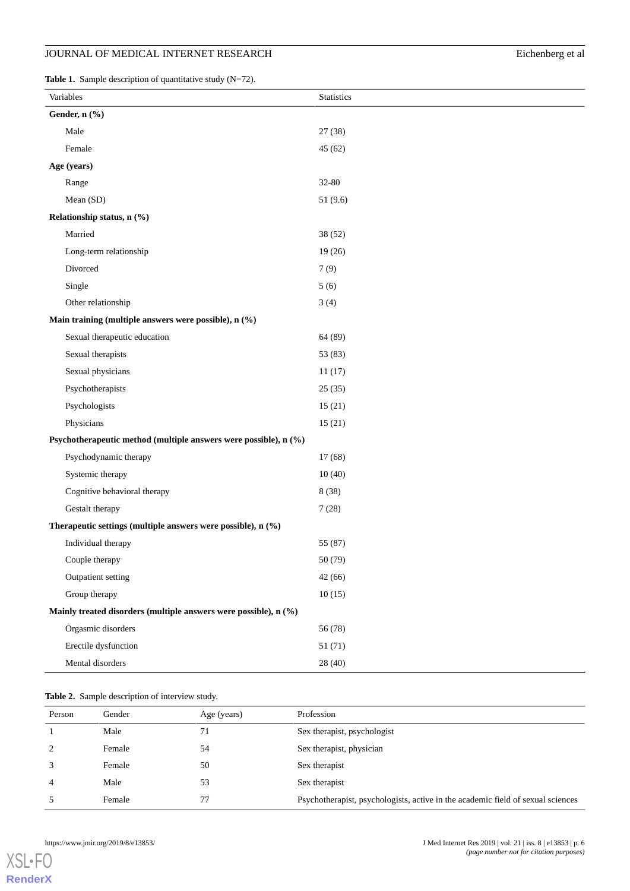# JOURNAL OF MEDICAL INTERNET RESEARCH Eichenberg et al

<span id="page-5-0"></span>**Table 1.** Sample description of quantitative study (N=72).

|                                                                  | Variables                                                        | Statistics |  |  |
|------------------------------------------------------------------|------------------------------------------------------------------|------------|--|--|
|                                                                  | Gender, n (%)                                                    |            |  |  |
|                                                                  | Male                                                             | 27(38)     |  |  |
|                                                                  | Female                                                           | 45(62)     |  |  |
| Age (years)                                                      |                                                                  |            |  |  |
|                                                                  | Range                                                            | 32-80      |  |  |
|                                                                  | Mean (SD)                                                        | 51 (9.6)   |  |  |
|                                                                  | Relationship status, n (%)                                       |            |  |  |
|                                                                  | Married                                                          | 38 (52)    |  |  |
|                                                                  | Long-term relationship                                           | 19(26)     |  |  |
|                                                                  | Divorced                                                         | 7(9)       |  |  |
|                                                                  | Single                                                           | 5(6)       |  |  |
|                                                                  | Other relationship                                               | 3(4)       |  |  |
|                                                                  | Main training (multiple answers were possible), n (%)            |            |  |  |
|                                                                  | Sexual therapeutic education                                     | 64 (89)    |  |  |
|                                                                  | Sexual therapists                                                | 53 (83)    |  |  |
|                                                                  | Sexual physicians                                                | 11(17)     |  |  |
|                                                                  | Psychotherapists                                                 | 25(35)     |  |  |
|                                                                  | Psychologists                                                    | 15(21)     |  |  |
|                                                                  | Physicians                                                       | 15(21)     |  |  |
|                                                                  | Psychotherapeutic method (multiple answers were possible), n (%) |            |  |  |
|                                                                  | Psychodynamic therapy                                            | 17(68)     |  |  |
|                                                                  | Systemic therapy                                                 | 10(40)     |  |  |
|                                                                  | Cognitive behavioral therapy                                     | 8 (38)     |  |  |
|                                                                  | Gestalt therapy                                                  | 7(28)      |  |  |
|                                                                  | Therapeutic settings (multiple answers were possible), n (%)     |            |  |  |
|                                                                  | Individual therapy                                               | 55 (87)    |  |  |
|                                                                  | Couple therapy                                                   | 50 (79)    |  |  |
|                                                                  | Outpatient setting                                               | 42(66)     |  |  |
|                                                                  | Group therapy                                                    | 10(15)     |  |  |
| Mainly treated disorders (multiple answers were possible), n (%) |                                                                  |            |  |  |
|                                                                  | Orgasmic disorders                                               | 56 (78)    |  |  |
|                                                                  | Erectile dysfunction                                             | 51(71)     |  |  |
|                                                                  | Mental disorders                                                 | 28 (40)    |  |  |

# <span id="page-5-1"></span>**Table 2.** Sample description of interview study.

| Person | Gender | Age (years) | Profession                                                                      |
|--------|--------|-------------|---------------------------------------------------------------------------------|
|        | Male   | 71          | Sex therapist, psychologist                                                     |
| 2      | Female | 54          | Sex therapist, physician                                                        |
|        | Female | 50          | Sex therapist                                                                   |
| 4      | Male   | 53          | Sex therapist                                                                   |
|        | Female | 77          | Psychotherapist, psychologists, active in the academic field of sexual sciences |

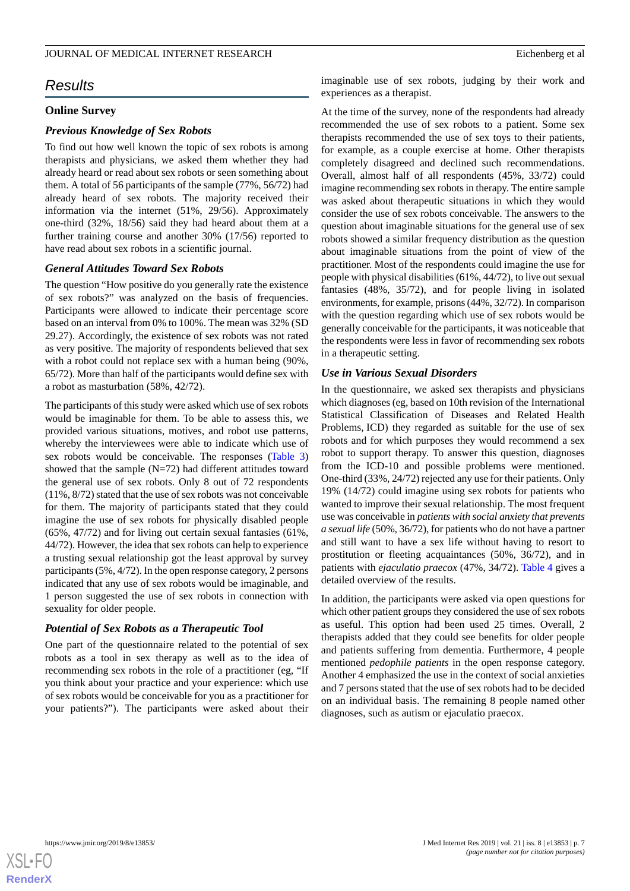# *Results*

# **Online Survey**

#### *Previous Knowledge of Sex Robots*

To find out how well known the topic of sex robots is among therapists and physicians, we asked them whether they had already heard or read about sex robots or seen something about them. A total of 56 participants of the sample (77%, 56/72) had already heard of sex robots. The majority received their information via the internet (51%, 29/56). Approximately one-third (32%, 18/56) said they had heard about them at a further training course and another 30% (17/56) reported to have read about sex robots in a scientific journal.

#### *General Attitudes Toward Sex Robots*

The question "How positive do you generally rate the existence of sex robots?" was analyzed on the basis of frequencies. Participants were allowed to indicate their percentage score based on an interval from 0% to 100%. The mean was 32% (SD 29.27). Accordingly, the existence of sex robots was not rated as very positive. The majority of respondents believed that sex with a robot could not replace sex with a human being (90%, 65/72). More than half of the participants would define sex with a robot as masturbation (58%, 42/72).

The participants of this study were asked which use of sex robots would be imaginable for them. To be able to assess this, we provided various situations, motives, and robot use patterns, whereby the interviewees were able to indicate which use of sex robots would be conceivable. The responses [\(Table 3](#page-7-0)) showed that the sample (N=72) had different attitudes toward the general use of sex robots. Only 8 out of 72 respondents (11%, 8/72) stated that the use of sex robots was not conceivable for them. The majority of participants stated that they could imagine the use of sex robots for physically disabled people (65%, 47/72) and for living out certain sexual fantasies (61%, 44/72). However, the idea that sex robots can help to experience a trusting sexual relationship got the least approval by survey participants (5%, 4/72). In the open response category, 2 persons indicated that any use of sex robots would be imaginable, and 1 person suggested the use of sex robots in connection with sexuality for older people.

#### *Potential of Sex Robots as a Therapeutic Tool*

One part of the questionnaire related to the potential of sex robots as a tool in sex therapy as well as to the idea of recommending sex robots in the role of a practitioner (eg, "If you think about your practice and your experience: which use of sex robots would be conceivable for you as a practitioner for your patients?"). The participants were asked about their imaginable use of sex robots, judging by their work and experiences as a therapist.

At the time of the survey, none of the respondents had already recommended the use of sex robots to a patient. Some sex therapists recommended the use of sex toys to their patients, for example, as a couple exercise at home. Other therapists completely disagreed and declined such recommendations. Overall, almost half of all respondents (45%, 33/72) could imagine recommending sex robots in therapy. The entire sample was asked about therapeutic situations in which they would consider the use of sex robots conceivable. The answers to the question about imaginable situations for the general use of sex robots showed a similar frequency distribution as the question about imaginable situations from the point of view of the practitioner. Most of the respondents could imagine the use for people with physical disabilities (61%, 44/72), to live out sexual fantasies (48%, 35/72), and for people living in isolated environments, for example, prisons (44%, 32/72). In comparison with the question regarding which use of sex robots would be generally conceivable for the participants, it was noticeable that the respondents were less in favor of recommending sex robots in a therapeutic setting.

#### *Use in Various Sexual Disorders*

In the questionnaire, we asked sex therapists and physicians which diagnoses (eg, based on 10th revision of the International Statistical Classification of Diseases and Related Health Problems, ICD) they regarded as suitable for the use of sex robots and for which purposes they would recommend a sex robot to support therapy. To answer this question, diagnoses from the ICD-10 and possible problems were mentioned. One-third (33%, 24/72) rejected any use for their patients. Only 19% (14/72) could imagine using sex robots for patients who wanted to improve their sexual relationship. The most frequent use was conceivable in *patients with social anxiety that prevents a sexual life* (50%, 36/72), for patients who do not have a partner and still want to have a sex life without having to resort to prostitution or fleeting acquaintances (50%, 36/72), and in patients with *ejaculatio praecox* (47%, 34/72). [Table 4](#page-8-0) gives a detailed overview of the results.

In addition, the participants were asked via open questions for which other patient groups they considered the use of sex robots as useful. This option had been used 25 times. Overall, 2 therapists added that they could see benefits for older people and patients suffering from dementia. Furthermore, 4 people mentioned *pedophile patients* in the open response category. Another 4 emphasized the use in the context of social anxieties and 7 persons stated that the use of sex robots had to be decided on an individual basis. The remaining 8 people named other diagnoses, such as autism or ejaculatio praecox.

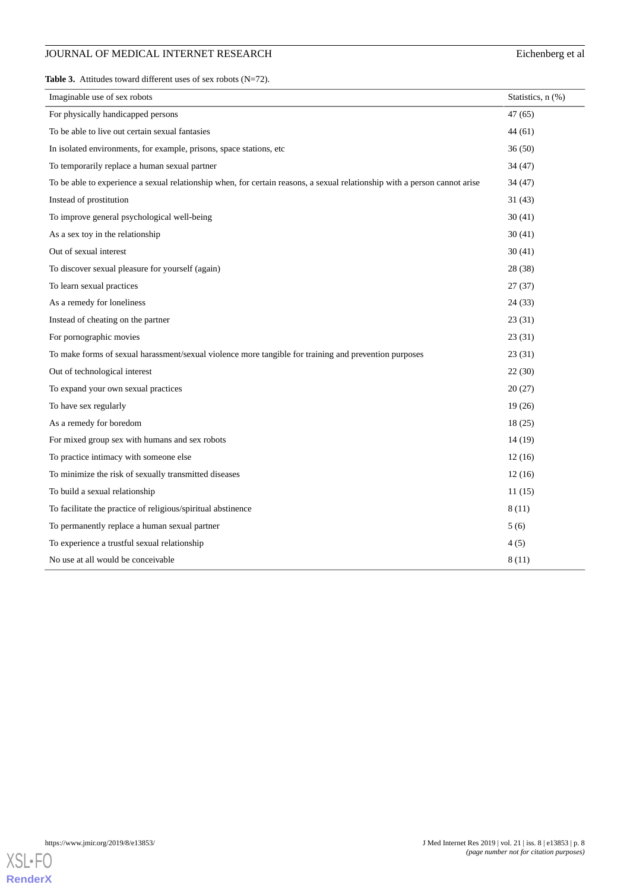# JOURNAL OF MEDICAL INTERNET RESEARCH Eichenberg et al

<span id="page-7-0"></span>**Table 3.** Attitudes toward different uses of sex robots (N=72).

| Imaginable use of sex robots                                                                                               | Statistics, n (%) |
|----------------------------------------------------------------------------------------------------------------------------|-------------------|
| For physically handicapped persons                                                                                         | 47(65)            |
| To be able to live out certain sexual fantasies                                                                            | 44(61)            |
| In isolated environments, for example, prisons, space stations, etc                                                        | 36(50)            |
| To temporarily replace a human sexual partner                                                                              | 34(47)            |
| To be able to experience a sexual relationship when, for certain reasons, a sexual relationship with a person cannot arise | 34 (47)           |
| Instead of prostitution                                                                                                    | 31(43)            |
| To improve general psychological well-being                                                                                | 30(41)            |
| As a sex toy in the relationship                                                                                           | 30(41)            |
| Out of sexual interest                                                                                                     | 30(41)            |
| To discover sexual pleasure for yourself (again)                                                                           | 28 (38)           |
| To learn sexual practices                                                                                                  | 27(37)            |
| As a remedy for loneliness                                                                                                 | 24(33)            |
| Instead of cheating on the partner                                                                                         | 23(31)            |
| For pornographic movies                                                                                                    | 23(31)            |
| To make forms of sexual harassment/sexual violence more tangible for training and prevention purposes                      | 23(31)            |
| Out of technological interest                                                                                              | 22(30)            |
| To expand your own sexual practices                                                                                        | 20(27)            |
| To have sex regularly                                                                                                      | 19(26)            |
| As a remedy for boredom                                                                                                    | 18(25)            |
| For mixed group sex with humans and sex robots                                                                             | 14(19)            |
| To practice intimacy with someone else                                                                                     | 12(16)            |
| To minimize the risk of sexually transmitted diseases                                                                      | 12(16)            |
| To build a sexual relationship                                                                                             | 11(15)            |
| To facilitate the practice of religious/spiritual abstinence                                                               | 8(11)             |
| To permanently replace a human sexual partner                                                                              | 5(6)              |
| To experience a trustful sexual relationship                                                                               | 4(5)              |
| No use at all would be conceivable                                                                                         | 8(11)             |

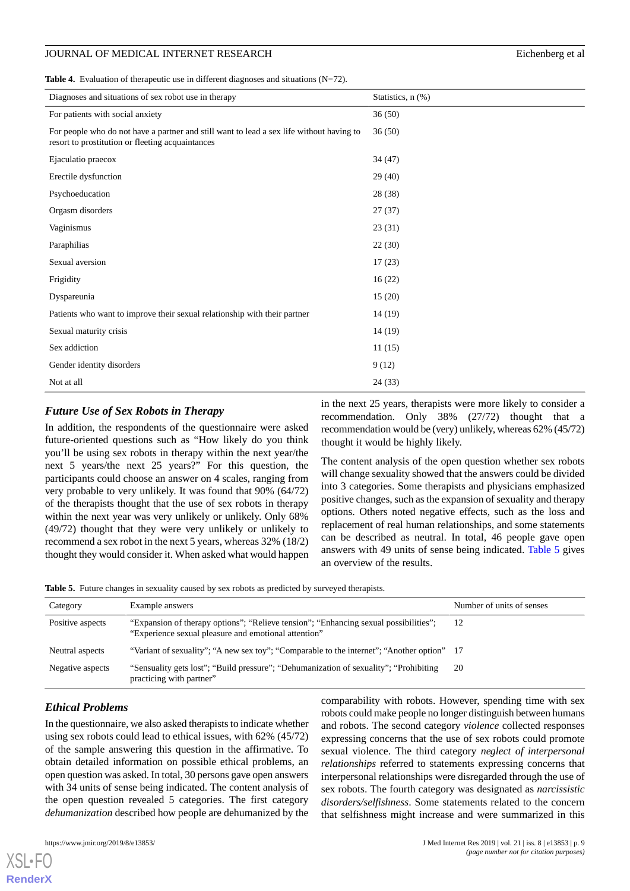# JOURNAL OF MEDICAL INTERNET RESEARCH Eichenberg et al

<span id="page-8-0"></span>Table 4. Evaluation of therapeutic use in different diagnoses and situations (N=72).

| Diagnoses and situations of sex robot use in therapy                                                                                         | Statistics, n (%) |
|----------------------------------------------------------------------------------------------------------------------------------------------|-------------------|
| For patients with social anxiety                                                                                                             | 36(50)            |
| For people who do not have a partner and still want to lead a sex life without having to<br>resort to prostitution or fleeting acquaintances | 36(50)            |
| Ejaculatio praecox                                                                                                                           | 34(47)            |
| Erectile dysfunction                                                                                                                         | 29(40)            |
| Psychoeducation                                                                                                                              | 28 (38)           |
| Orgasm disorders                                                                                                                             | 27(37)            |
| Vaginismus                                                                                                                                   | 23(31)            |
| Paraphilias                                                                                                                                  | 22(30)            |
| Sexual aversion                                                                                                                              | 17(23)            |
| Frigidity                                                                                                                                    | 16(22)            |
| Dyspareunia                                                                                                                                  | 15(20)            |
| Patients who want to improve their sexual relationship with their partner                                                                    | 14 (19)           |
| Sexual maturity crisis                                                                                                                       | 14 (19)           |
| Sex addiction                                                                                                                                | 11(15)            |
| Gender identity disorders                                                                                                                    | 9(12)             |
| Not at all                                                                                                                                   | 24(33)            |

# *Future Use of Sex Robots in Therapy*

In addition, the respondents of the questionnaire were asked future-oriented questions such as "How likely do you think you'll be using sex robots in therapy within the next year/the next 5 years/the next 25 years?" For this question, the participants could choose an answer on 4 scales, ranging from very probable to very unlikely. It was found that 90% (64/72) of the therapists thought that the use of sex robots in therapy within the next year was very unlikely or unlikely. Only 68% (49/72) thought that they were very unlikely or unlikely to recommend a sex robot in the next 5 years, whereas 32% (18/2) thought they would consider it. When asked what would happen

in the next 25 years, therapists were more likely to consider a recommendation. Only 38% (27/72) thought that a recommendation would be (very) unlikely, whereas 62% (45/72) thought it would be highly likely.

The content analysis of the open question whether sex robots will change sexuality showed that the answers could be divided into 3 categories. Some therapists and physicians emphasized positive changes, such as the expansion of sexuality and therapy options. Others noted negative effects, such as the loss and replacement of real human relationships, and some statements can be described as neutral. In total, 46 people gave open answers with 49 units of sense being indicated. [Table 5](#page-8-1) gives an overview of the results.

<span id="page-8-1"></span>**Table 5.** Future changes in sexuality caused by sex robots as predicted by surveyed therapists.

| Category         | Example answers                                                                                                                              | Number of units of senses |
|------------------|----------------------------------------------------------------------------------------------------------------------------------------------|---------------------------|
| Positive aspects | "Expansion of therapy options"; "Relieve tension"; "Enhancing sexual possibilities";<br>"Experience sexual pleasure and emotional attention" | 12                        |
| Neutral aspects  | "Variant of sexuality"; "A new sex toy"; "Comparable to the internet"; "Another option" 17                                                   |                           |
| Negative aspects | "Sensuality gets lost"; "Build pressure"; "Dehumanization of sexuality"; "Prohibiting"<br>practicing with partner"                           | 20                        |

# *Ethical Problems*

In the questionnaire, we also asked therapists to indicate whether using sex robots could lead to ethical issues, with 62% (45/72) of the sample answering this question in the affirmative. To obtain detailed information on possible ethical problems, an open question was asked. In total, 30 persons gave open answers with 34 units of sense being indicated. The content analysis of the open question revealed 5 categories. The first category *dehumanization* described how people are dehumanized by the

[XSL](http://www.w3.org/Style/XSL)•FO **[RenderX](http://www.renderx.com/)**

comparability with robots. However, spending time with sex robots could make people no longer distinguish between humans and robots. The second category *violence* collected responses expressing concerns that the use of sex robots could promote sexual violence. The third category *neglect of interpersonal relationships* referred to statements expressing concerns that interpersonal relationships were disregarded through the use of sex robots. The fourth category was designated as *narcissistic disorders/selfishness*. Some statements related to the concern that selfishness might increase and were summarized in this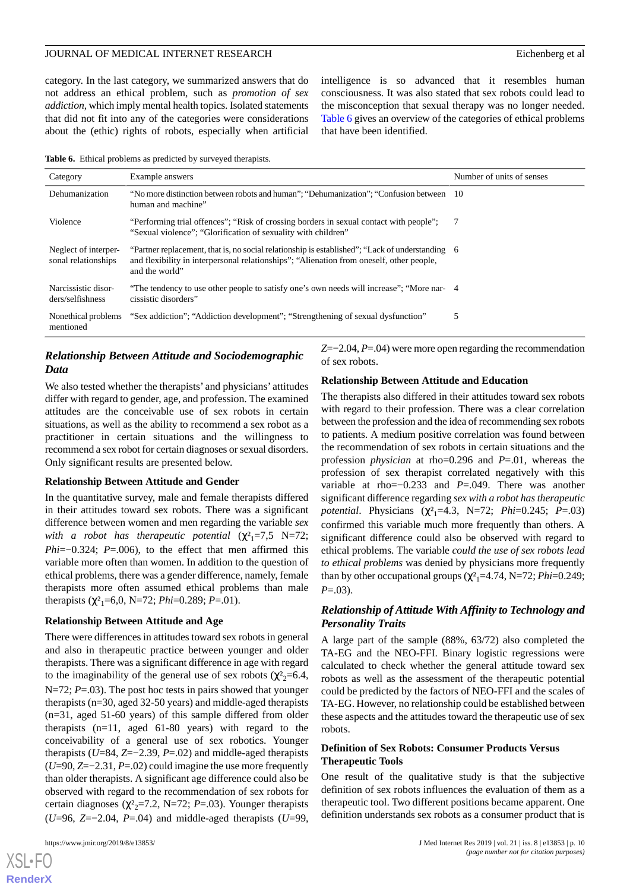#### JOURNAL OF MEDICAL INTERNET RESEARCH EICHENBERGEICHE EIChenberg et al.

category. In the last category, we summarized answers that do not address an ethical problem, such as *promotion of sex addiction*, which imply mental health topics. Isolated statements that did not fit into any of the categories were considerations about the (ethic) rights of robots, especially when artificial

intelligence is so advanced that it resembles human consciousness. It was also stated that sex robots could lead to the misconception that sexual therapy was no longer needed. [Table 6](#page-9-0) gives an overview of the categories of ethical problems that have been identified.

<span id="page-9-0"></span>**Table 6.** Ethical problems as predicted by surveyed therapists.

| Category                                    | Example answers                                                                                                                                                                                               | Number of units of senses |
|---------------------------------------------|---------------------------------------------------------------------------------------------------------------------------------------------------------------------------------------------------------------|---------------------------|
| Dehumanization                              | "No more distinction between robots and human"; "Dehumanization"; "Confusion between 10<br>human and machine"                                                                                                 |                           |
| Violence                                    | "Performing trial offences"; "Risk of crossing borders in sexual contact with people";<br>"Sexual violence"; "Glorification of sexuality with children"                                                       | - 7                       |
| Neglect of interper-<br>sonal relationships | "Partner replacement, that is, no social relationship is established"; "Lack of understanding 6<br>and flexibility in interpersonal relationships"; "Alienation from oneself, other people,<br>and the world" |                           |
| Narcissistic disor-<br>ders/selfishness     | "The tendency to use other people to satisfy one's own needs will increase"; "More nar- 4<br>cissistic disorders"                                                                                             |                           |
| Nonethical problems<br>mentioned            | "Sex addiction": "Addiction development": "Strengthening of sexual dysfunction"                                                                                                                               |                           |

# *Relationship Between Attitude and Sociodemographic Data*

We also tested whether the therapists' and physicians' attitudes differ with regard to gender, age, and profession. The examined attitudes are the conceivable use of sex robots in certain situations, as well as the ability to recommend a sex robot as a practitioner in certain situations and the willingness to recommend a sex robot for certain diagnoses or sexual disorders. Only significant results are presented below.

# **Relationship Between Attitude and Gender**

In the quantitative survey, male and female therapists differed in their attitudes toward sex robots. There was a significant difference between women and men regarding the variable *sex with a robot has therapeutic potential*  $(\chi^2)^2 = 7.5$  N=72; *Phi*=−0.324; *P*=.006), to the effect that men affirmed this variable more often than women. In addition to the question of ethical problems, there was a gender difference, namely, female therapists more often assumed ethical problems than male therapists ( $\chi^2$ <sub>1</sub>=6,0, N=72; *Phi*=0.289; *P*=.01).

#### **Relationship Between Attitude and Age**

There were differences in attitudes toward sex robots in general and also in therapeutic practice between younger and older therapists. There was a significant difference in age with regard to the imaginability of the general use of sex robots ( $\chi^2$ <sub>2</sub>=6.4, N=72; *P*=.03). The post hoc tests in pairs showed that younger therapists (n=30, aged 32-50 years) and middle-aged therapists (n=31, aged 51-60 years) of this sample differed from older therapists (n=11, aged 61-80 years) with regard to the conceivability of a general use of sex robotics. Younger therapists (*U*=84, *Z*=−2.39, *P*=.02) and middle-aged therapists (*U*=90, *Z*=−2.31, *P*=.02) could imagine the use more frequently than older therapists. A significant age difference could also be observed with regard to the recommendation of sex robots for certain diagnoses ( $\chi^2$ <sub>2</sub>=7.2, N=72; *P*=.03). Younger therapists (*U*=96, *Z*=−2.04, *P*=.04) and middle-aged therapists (*U*=99,

*Z*=−2.04, *P*=.04) were more open regarding the recommendation of sex robots.

#### **Relationship Between Attitude and Education**

The therapists also differed in their attitudes toward sex robots with regard to their profession. There was a clear correlation between the profession and the idea of recommending sex robots to patients. A medium positive correlation was found between the recommendation of sex robots in certain situations and the profession *physician* at rho=0.296 and *P*=.01, whereas the profession of sex therapist correlated negatively with this variable at rho=−0.233 and *P*=.049. There was another significant difference regarding *sex with a robot has therapeutic potential*. Physicians (χ<sup>2</sup><sub>1</sub>=4.3, N=72; *Phi*=0.245; *P*=.03) confirmed this variable much more frequently than others. A significant difference could also be observed with regard to ethical problems. The variable *could the use of sex robots lead to ethical problems* was denied by physicians more frequently than by other occupational groups  $(\chi^2_1=4.74, N=72; Phi=0.249;$ *P*=.03).

# *Relationship of Attitude With Affinity to Technology and Personality Traits*

A large part of the sample (88%, 63/72) also completed the TA-EG and the NEO-FFI. Binary logistic regressions were calculated to check whether the general attitude toward sex robots as well as the assessment of the therapeutic potential could be predicted by the factors of NEO-FFI and the scales of TA-EG. However, no relationship could be established between these aspects and the attitudes toward the therapeutic use of sex robots.

# **Definition of Sex Robots: Consumer Products Versus Therapeutic Tools**

One result of the qualitative study is that the subjective definition of sex robots influences the evaluation of them as a therapeutic tool. Two different positions became apparent. One definition understands sex robots as a consumer product that is

[XSL](http://www.w3.org/Style/XSL)•FO **[RenderX](http://www.renderx.com/)**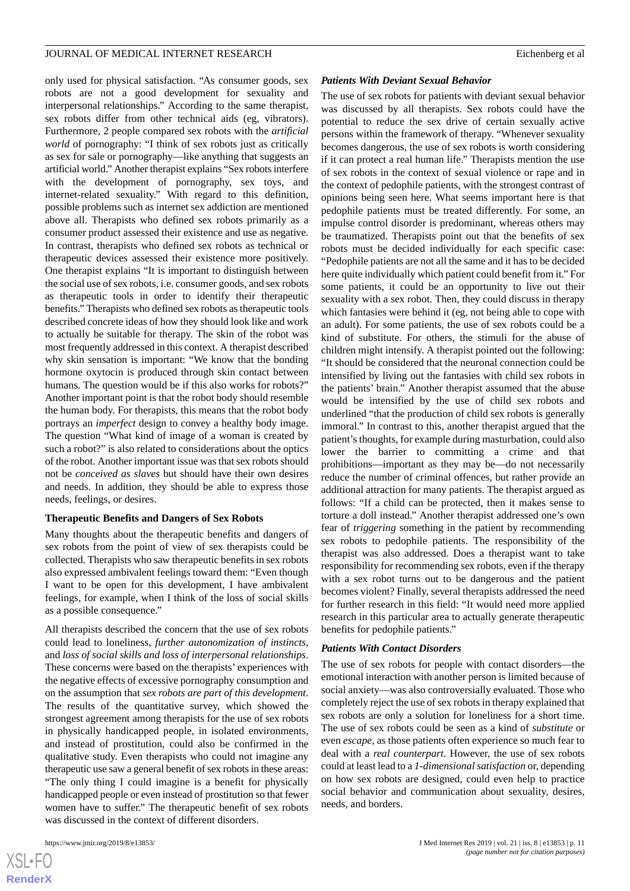only used for physical satisfaction. "As consumer goods, sex robots are not a good development for sexuality and interpersonal relationships." According to the same therapist, sex robots differ from other technical aids (eg, vibrators). Furthermore, 2 people compared sex robots with the *artificial world* of pornography: "I think of sex robots just as critically as sex for sale or pornography—like anything that suggests an artificial world." Another therapist explains "Sex robots interfere with the development of pornography, sex toys, and internet-related sexuality." With regard to this definition, possible problems such as internet sex addiction are mentioned above all. Therapists who defined sex robots primarily as a consumer product assessed their existence and use as negative. In contrast, therapists who defined sex robots as technical or therapeutic devices assessed their existence more positively. One therapist explains "It is important to distinguish between the social use of sex robots, i.e. consumer goods, and sex robots as therapeutic tools in order to identify their therapeutic benefits." Therapists who defined sex robots as therapeutic tools described concrete ideas of how they should look like and work to actually be suitable for therapy. The skin of the robot was most frequently addressed in this context. A therapist described why skin sensation is important: "We know that the bonding hormone oxytocin is produced through skin contact between humans. The question would be if this also works for robots?" Another important point is that the robot body should resemble the human body. For therapists, this means that the robot body portrays an *imperfect* design to convey a healthy body image. The question "What kind of image of a woman is created by such a robot?" is also related to considerations about the optics of the robot. Another important issue was that sex robots should not be *conceived as slaves* but should have their own desires and needs. In addition, they should be able to express those needs, feelings, or desires.

#### **Therapeutic Benefits and Dangers of Sex Robots**

Many thoughts about the therapeutic benefits and dangers of sex robots from the point of view of sex therapists could be collected. Therapists who saw therapeutic benefits in sex robots also expressed ambivalent feelings toward them: "Even though I want to be open for this development, I have ambivalent feelings, for example, when I think of the loss of social skills as a possible consequence."

All therapists described the concern that the use of sex robots could lead to loneliness, *further autonomization of instincts*, and *loss of social skills and loss of interpersonal relationships*. These concerns were based on the therapists' experiences with the negative effects of excessive pornography consumption and on the assumption that *sex robots are part of this development*. The results of the quantitative survey, which showed the strongest agreement among therapists for the use of sex robots in physically handicapped people, in isolated environments, and instead of prostitution, could also be confirmed in the qualitative study. Even therapists who could not imagine any therapeutic use saw a general benefit of sex robots in these areas: "The only thing I could imagine is a benefit for physically handicapped people or even instead of prostitution so that fewer women have to suffer." The therapeutic benefit of sex robots was discussed in the context of different disorders.

#### *Patients With Deviant Sexual Behavior*

The use of sex robots for patients with deviant sexual behavior was discussed by all therapists. Sex robots could have the potential to reduce the sex drive of certain sexually active persons within the framework of therapy. "Whenever sexuality becomes dangerous, the use of sex robots is worth considering if it can protect a real human life." Therapists mention the use of sex robots in the context of sexual violence or rape and in the context of pedophile patients, with the strongest contrast of opinions being seen here. What seems important here is that pedophile patients must be treated differently. For some, an impulse control disorder is predominant, whereas others may be traumatized. Therapists point out that the benefits of sex robots must be decided individually for each specific case: "Pedophile patients are not all the same and it has to be decided here quite individually which patient could benefit from it." For some patients, it could be an opportunity to live out their sexuality with a sex robot. Then, they could discuss in therapy which fantasies were behind it (eg, not being able to cope with an adult). For some patients, the use of sex robots could be a kind of substitute. For others, the stimuli for the abuse of children might intensify. A therapist pointed out the following: "It should be considered that the neuronal connection could be intensified by living out the fantasies with child sex robots in the patients' brain." Another therapist assumed that the abuse would be intensified by the use of child sex robots and underlined "that the production of child sex robots is generally immoral." In contrast to this, another therapist argued that the patient's thoughts, for example during masturbation, could also lower the barrier to committing a crime and that prohibitions—important as they may be—do not necessarily reduce the number of criminal offences, but rather provide an additional attraction for many patients. The therapist argued as follows: "If a child can be protected, then it makes sense to torture a doll instead." Another therapist addressed one's own fear of *triggering* something in the patient by recommending sex robots to pedophile patients. The responsibility of the therapist was also addressed. Does a therapist want to take responsibility for recommending sex robots, even if the therapy with a sex robot turns out to be dangerous and the patient becomes violent? Finally, several therapists addressed the need for further research in this field: "It would need more applied research in this particular area to actually generate therapeutic benefits for pedophile patients."

#### *Patients With Contact Disorders*

The use of sex robots for people with contact disorders—the emotional interaction with another person is limited because of social anxiety—was also controversially evaluated. Those who completely reject the use of sex robots in therapy explained that sex robots are only a solution for loneliness for a short time. The use of sex robots could be seen as a kind of *substitute* or even *escape*, as those patients often experience so much fear to deal with a *real counterpart*. However, the use of sex robots could at least lead to a *1-dimensional satisfaction* or, depending on how sex robots are designed, could even help to practice social behavior and communication about sexuality, desires, needs, and borders.

```
XS-FO
RenderX
```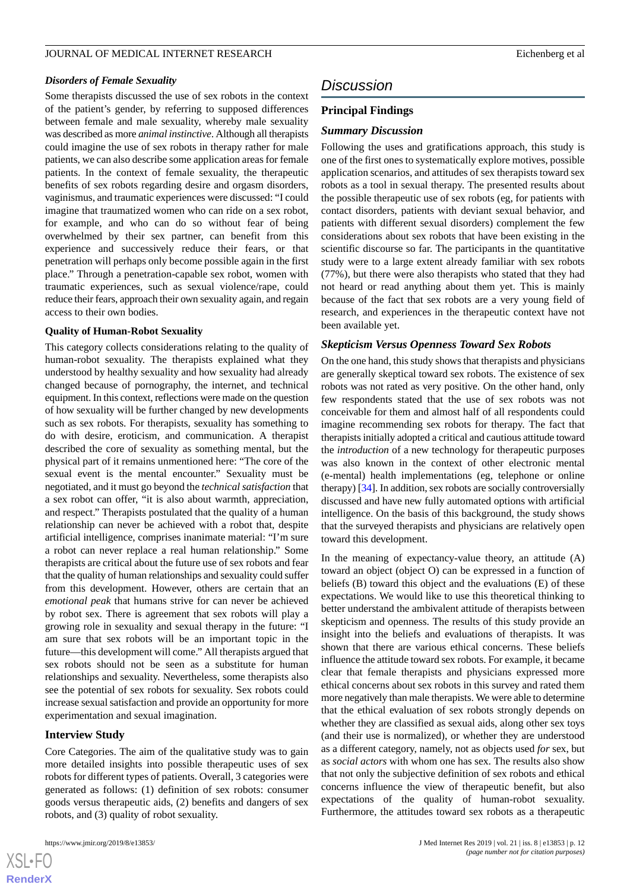#### *Disorders of Female Sexuality*

Some therapists discussed the use of sex robots in the context of the patient's gender, by referring to supposed differences between female and male sexuality, whereby male sexuality was described as more *animal instinctive*. Although all therapists could imagine the use of sex robots in therapy rather for male patients, we can also describe some application areas for female patients. In the context of female sexuality, the therapeutic benefits of sex robots regarding desire and orgasm disorders, vaginismus, and traumatic experiences were discussed: "I could imagine that traumatized women who can ride on a sex robot, for example, and who can do so without fear of being overwhelmed by their sex partner, can benefit from this experience and successively reduce their fears, or that penetration will perhaps only become possible again in the first place." Through a penetration-capable sex robot, women with traumatic experiences, such as sexual violence/rape, could reduce their fears, approach their own sexuality again, and regain access to their own bodies.

#### **Quality of Human-Robot Sexuality**

This category collects considerations relating to the quality of human-robot sexuality. The therapists explained what they understood by healthy sexuality and how sexuality had already changed because of pornography, the internet, and technical equipment. In this context, reflections were made on the question of how sexuality will be further changed by new developments such as sex robots. For therapists, sexuality has something to do with desire, eroticism, and communication. A therapist described the core of sexuality as something mental, but the physical part of it remains unmentioned here: "The core of the sexual event is the mental encounter." Sexuality must be negotiated, and it must go beyond the *technical satisfaction* that a sex robot can offer, "it is also about warmth, appreciation, and respect." Therapists postulated that the quality of a human relationship can never be achieved with a robot that, despite artificial intelligence, comprises inanimate material: "I'm sure a robot can never replace a real human relationship." Some therapists are critical about the future use of sex robots and fear that the quality of human relationships and sexuality could suffer from this development. However, others are certain that an *emotional peak* that humans strive for can never be achieved by robot sex. There is agreement that sex robots will play a growing role in sexuality and sexual therapy in the future: "I am sure that sex robots will be an important topic in the future—this development will come." All therapists argued that sex robots should not be seen as a substitute for human relationships and sexuality. Nevertheless, some therapists also see the potential of sex robots for sexuality. Sex robots could increase sexual satisfaction and provide an opportunity for more experimentation and sexual imagination.

#### **Interview Study**

Core Categories. The aim of the qualitative study was to gain more detailed insights into possible therapeutic uses of sex robots for different types of patients. Overall, 3 categories were generated as follows: (1) definition of sex robots: consumer goods versus therapeutic aids, (2) benefits and dangers of sex robots, and (3) quality of robot sexuality.

# *Discussion*

#### **Principal Findings**

#### *Summary Discussion*

Following the uses and gratifications approach, this study is one of the first ones to systematically explore motives, possible application scenarios, and attitudes of sex therapists toward sex robots as a tool in sexual therapy. The presented results about the possible therapeutic use of sex robots (eg, for patients with contact disorders, patients with deviant sexual behavior, and patients with different sexual disorders) complement the few considerations about sex robots that have been existing in the scientific discourse so far. The participants in the quantitative study were to a large extent already familiar with sex robots (77%), but there were also therapists who stated that they had not heard or read anything about them yet. This is mainly because of the fact that sex robots are a very young field of research, and experiences in the therapeutic context have not been available yet.

# *Skepticism Versus Openness Toward Sex Robots*

On the one hand, this study shows that therapists and physicians are generally skeptical toward sex robots. The existence of sex robots was not rated as very positive. On the other hand, only few respondents stated that the use of sex robots was not conceivable for them and almost half of all respondents could imagine recommending sex robots for therapy. The fact that therapists initially adopted a critical and cautious attitude toward the *introduction* of a new technology for therapeutic purposes was also known in the context of other electronic mental (e-mental) health implementations (eg, telephone or online therapy) [[34](#page-14-25)]. In addition, sex robots are socially controversially discussed and have new fully automated options with artificial intelligence. On the basis of this background, the study shows that the surveyed therapists and physicians are relatively open toward this development.

In the meaning of expectancy-value theory, an attitude (A) toward an object (object O) can be expressed in a function of beliefs (B) toward this object and the evaluations (E) of these expectations. We would like to use this theoretical thinking to better understand the ambivalent attitude of therapists between skepticism and openness. The results of this study provide an insight into the beliefs and evaluations of therapists. It was shown that there are various ethical concerns. These beliefs influence the attitude toward sex robots. For example, it became clear that female therapists and physicians expressed more ethical concerns about sex robots in this survey and rated them more negatively than male therapists. We were able to determine that the ethical evaluation of sex robots strongly depends on whether they are classified as sexual aids, along other sex toys (and their use is normalized), or whether they are understood as a different category, namely, not as objects used *for* sex, but as *social actors* with whom one has sex. The results also show that not only the subjective definition of sex robots and ethical concerns influence the view of therapeutic benefit, but also expectations of the quality of human-robot sexuality. Furthermore, the attitudes toward sex robots as a therapeutic

```
XS\cdotFC
RenderX
```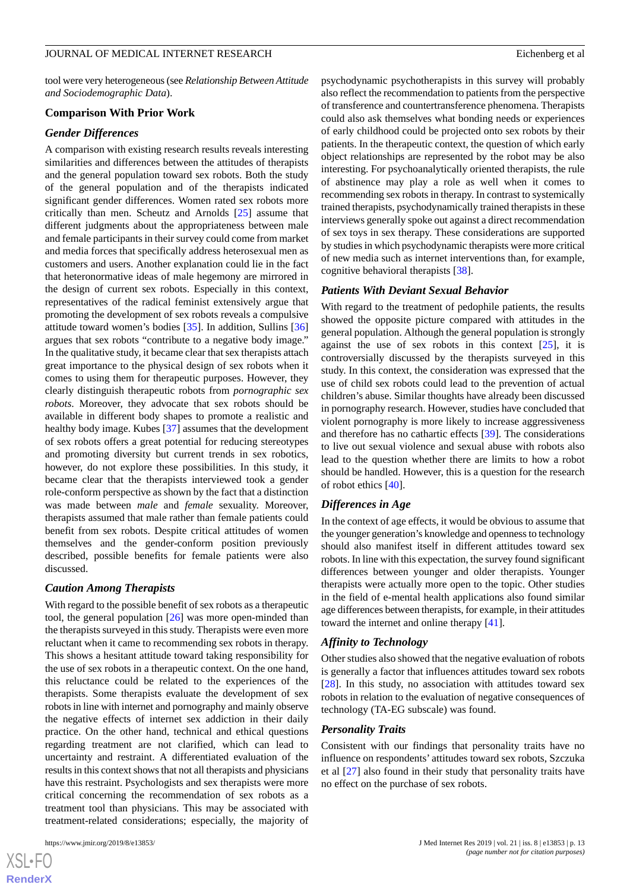tool were very heterogeneous (see *Relationship Between Attitude and Sociodemographic Data*).

#### **Comparison With Prior Work**

#### *Gender Differences*

A comparison with existing research results reveals interesting similarities and differences between the attitudes of therapists and the general population toward sex robots. Both the study of the general population and of the therapists indicated significant gender differences. Women rated sex robots more critically than men. Scheutz and Arnolds [[25\]](#page-14-16) assume that different judgments about the appropriateness between male and female participants in their survey could come from market and media forces that specifically address heterosexual men as customers and users. Another explanation could lie in the fact that heteronormative ideas of male hegemony are mirrored in the design of current sex robots. Especially in this context, representatives of the radical feminist extensively argue that promoting the development of sex robots reveals a compulsive attitude toward women's bodies [[35\]](#page-14-26). In addition, Sullins [\[36](#page-14-27)] argues that sex robots "contribute to a negative body image." In the qualitative study, it became clear that sex therapists attach great importance to the physical design of sex robots when it comes to using them for therapeutic purposes. However, they clearly distinguish therapeutic robots from *pornographic sex robots*. Moreover, they advocate that sex robots should be available in different body shapes to promote a realistic and healthy body image. Kubes [\[37](#page-15-0)] assumes that the development of sex robots offers a great potential for reducing stereotypes and promoting diversity but current trends in sex robotics, however, do not explore these possibilities. In this study, it became clear that the therapists interviewed took a gender role-conform perspective as shown by the fact that a distinction was made between *male* and *female* sexuality. Moreover, therapists assumed that male rather than female patients could benefit from sex robots. Despite critical attitudes of women themselves and the gender-conform position previously described, possible benefits for female patients were also discussed.

# *Caution Among Therapists*

With regard to the possible benefit of sex robots as a therapeutic tool, the general population [\[26](#page-14-17)] was more open-minded than the therapists surveyed in this study. Therapists were even more reluctant when it came to recommending sex robots in therapy. This shows a hesitant attitude toward taking responsibility for the use of sex robots in a therapeutic context. On the one hand, this reluctance could be related to the experiences of the therapists. Some therapists evaluate the development of sex robots in line with internet and pornography and mainly observe the negative effects of internet sex addiction in their daily practice. On the other hand, technical and ethical questions regarding treatment are not clarified, which can lead to uncertainty and restraint. A differentiated evaluation of the results in this context shows that not all therapists and physicians have this restraint. Psychologists and sex therapists were more critical concerning the recommendation of sex robots as a treatment tool than physicians. This may be associated with treatment-related considerations; especially, the majority of

 $XS$ -FO **[RenderX](http://www.renderx.com/)** psychodynamic psychotherapists in this survey will probably also reflect the recommendation to patients from the perspective of transference and countertransference phenomena. Therapists could also ask themselves what bonding needs or experiences of early childhood could be projected onto sex robots by their patients. In the therapeutic context, the question of which early object relationships are represented by the robot may be also interesting. For psychoanalytically oriented therapists, the rule of abstinence may play a role as well when it comes to recommending sex robots in therapy. In contrast to systemically trained therapists, psychodynamically trained therapists in these interviews generally spoke out against a direct recommendation of sex toys in sex therapy. These considerations are supported by studies in which psychodynamic therapists were more critical of new media such as internet interventions than, for example, cognitive behavioral therapists [[38\]](#page-15-1).

#### *Patients With Deviant Sexual Behavior*

With regard to the treatment of pedophile patients, the results showed the opposite picture compared with attitudes in the general population. Although the general population is strongly against the use of sex robots in this context  $[25]$  $[25]$ , it is controversially discussed by the therapists surveyed in this study. In this context, the consideration was expressed that the use of child sex robots could lead to the prevention of actual children's abuse. Similar thoughts have already been discussed in pornography research. However, studies have concluded that violent pornography is more likely to increase aggressiveness and therefore has no cathartic effects [\[39](#page-15-2)]. The considerations to live out sexual violence and sexual abuse with robots also lead to the question whether there are limits to how a robot should be handled. However, this is a question for the research of robot ethics [\[40](#page-15-3)].

# *Differences in Age*

In the context of age effects, it would be obvious to assume that the younger generation's knowledge and openness to technology should also manifest itself in different attitudes toward sex robots. In line with this expectation, the survey found significant differences between younger and older therapists. Younger therapists were actually more open to the topic. Other studies in the field of e-mental health applications also found similar age differences between therapists, for example, in their attitudes toward the internet and online therapy [[41\]](#page-15-4).

#### *Affinity to Technology*

Other studies also showed that the negative evaluation of robots is generally a factor that influences attitudes toward sex robots [[28\]](#page-14-19). In this study, no association with attitudes toward sex robots in relation to the evaluation of negative consequences of technology (TA-EG subscale) was found.

#### *Personality Traits*

Consistent with our findings that personality traits have no influence on respondents' attitudes toward sex robots, Szczuka et al [\[27](#page-14-18)] also found in their study that personality traits have no effect on the purchase of sex robots.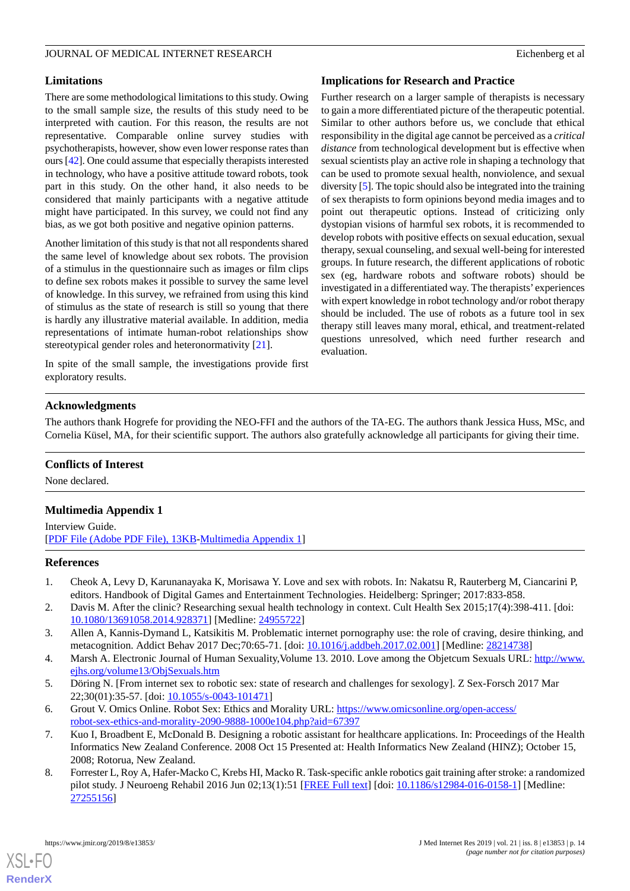# **Limitations**

There are some methodological limitations to this study. Owing to the small sample size, the results of this study need to be interpreted with caution. For this reason, the results are not representative. Comparable online survey studies with psychotherapists, however, show even lower response rates than ours [[42\]](#page-15-5). One could assume that especially therapists interested in technology, who have a positive attitude toward robots, took part in this study. On the other hand, it also needs to be considered that mainly participants with a negative attitude might have participated. In this survey, we could not find any bias, as we got both positive and negative opinion patterns.

Another limitation of this study is that not all respondents shared the same level of knowledge about sex robots. The provision of a stimulus in the questionnaire such as images or film clips to define sex robots makes it possible to survey the same level of knowledge. In this survey, we refrained from using this kind of stimulus as the state of research is still so young that there is hardly any illustrative material available. In addition, media representations of intimate human-robot relationships show stereotypical gender roles and heteronormativity [[21\]](#page-14-12).

In spite of the small sample, the investigations provide first exploratory results.

# **Implications for Research and Practice**

Further research on a larger sample of therapists is necessary to gain a more differentiated picture of the therapeutic potential. Similar to other authors before us, we conclude that ethical responsibility in the digital age cannot be perceived as a *critical distance* from technological development but is effective when sexual scientists play an active role in shaping a technology that can be used to promote sexual health, nonviolence, and sexual diversity [\[5](#page-13-4)]. The topic should also be integrated into the training of sex therapists to form opinions beyond media images and to point out therapeutic options. Instead of criticizing only dystopian visions of harmful sex robots, it is recommended to develop robots with positive effects on sexual education, sexual therapy, sexual counseling, and sexual well-being for interested groups. In future research, the different applications of robotic sex (eg, hardware robots and software robots) should be investigated in a differentiated way. The therapists' experiences with expert knowledge in robot technology and/or robot therapy should be included. The use of robots as a future tool in sex therapy still leaves many moral, ethical, and treatment-related questions unresolved, which need further research and evaluation.

# **Acknowledgments**

The authors thank Hogrefe for providing the NEO-FFI and the authors of the TA-EG. The authors thank Jessica Huss, MSc, and Cornelia Küsel, MA, for their scientific support. The authors also gratefully acknowledge all participants for giving their time.

# <span id="page-13-8"></span>**Conflicts of Interest**

None declared.

# **Multimedia Appendix 1**

<span id="page-13-0"></span>Interview Guide. [[PDF File \(Adobe PDF File\), 13KB-Multimedia Appendix 1](https://jmir.org/api/download?alt_name=jmir_v21i8e13853_app1.pdf&filename=442d542c30dde8ac2bac774fba259bf8.pdf)]

# <span id="page-13-2"></span><span id="page-13-1"></span>**References**

- <span id="page-13-3"></span>1. Cheok A, Levy D, Karunanayaka K, Morisawa Y. Love and sex with robots. In: Nakatsu R, Rauterberg M, Ciancarini P, editors. Handbook of Digital Games and Entertainment Technologies. Heidelberg: Springer; 2017:833-858.
- <span id="page-13-4"></span>2. Davis M. After the clinic? Researching sexual health technology in context. Cult Health Sex 2015;17(4):398-411. [doi: [10.1080/13691058.2014.928371\]](http://dx.doi.org/10.1080/13691058.2014.928371) [Medline: [24955722\]](http://www.ncbi.nlm.nih.gov/entrez/query.fcgi?cmd=Retrieve&db=PubMed&list_uids=24955722&dopt=Abstract)
- <span id="page-13-5"></span>3. Allen A, Kannis-Dymand L, Katsikitis M. Problematic internet pornography use: the role of craving, desire thinking, and metacognition. Addict Behav 2017 Dec;70:65-71. [doi: [10.1016/j.addbeh.2017.02.001](http://dx.doi.org/10.1016/j.addbeh.2017.02.001)] [Medline: [28214738\]](http://www.ncbi.nlm.nih.gov/entrez/query.fcgi?cmd=Retrieve&db=PubMed&list_uids=28214738&dopt=Abstract)
- <span id="page-13-6"></span>4. Marsh A. Electronic Journal of Human Sexuality,Volume 13. 2010. Love among the Objetcum Sexuals URL: [http://www.](http://www.ejhs.org/volume13/ObjSexuals.htm) [ejhs.org/volume13/ObjSexuals.htm](http://www.ejhs.org/volume13/ObjSexuals.htm)
- <span id="page-13-7"></span>5. Döring N. [From internet sex to robotic sex: state of research and challenges for sexology]. Z Sex-Forsch 2017 Mar 22;30(01):35-57. [doi: [10.1055/s-0043-101471](http://dx.doi.org/10.1055/s-0043-101471)]
- 6. Grout V. Omics Online. Robot Sex: Ethics and Morality URL: [https://www.omicsonline.org/open-access/](https://www.omicsonline.org/open-access/robot-sex-ethics-and-morality-2090-9888-1000e104.php?aid=67397) [robot-sex-ethics-and-morality-2090-9888-1000e104.php?aid=67397](https://www.omicsonline.org/open-access/robot-sex-ethics-and-morality-2090-9888-1000e104.php?aid=67397)
- 7. Kuo I, Broadbent E, McDonald B. Designing a robotic assistant for healthcare applications. In: Proceedings of the Health Informatics New Zealand Conference. 2008 Oct 15 Presented at: Health Informatics New Zealand (HINZ); October 15, 2008; Rotorua, New Zealand.
- 8. Forrester L, Roy A, Hafer-Macko C, Krebs HI, Macko R. Task-specific ankle robotics gait training after stroke: a randomized pilot study. J Neuroeng Rehabil 2016 Jun 02;13(1):51 [\[FREE Full text\]](https://jneuroengrehab.biomedcentral.com/articles/10.1186/s12984-016-0158-1) [doi: [10.1186/s12984-016-0158-1](http://dx.doi.org/10.1186/s12984-016-0158-1)] [Medline: [27255156](http://www.ncbi.nlm.nih.gov/entrez/query.fcgi?cmd=Retrieve&db=PubMed&list_uids=27255156&dopt=Abstract)]

[XSL](http://www.w3.org/Style/XSL)•FO **[RenderX](http://www.renderx.com/)**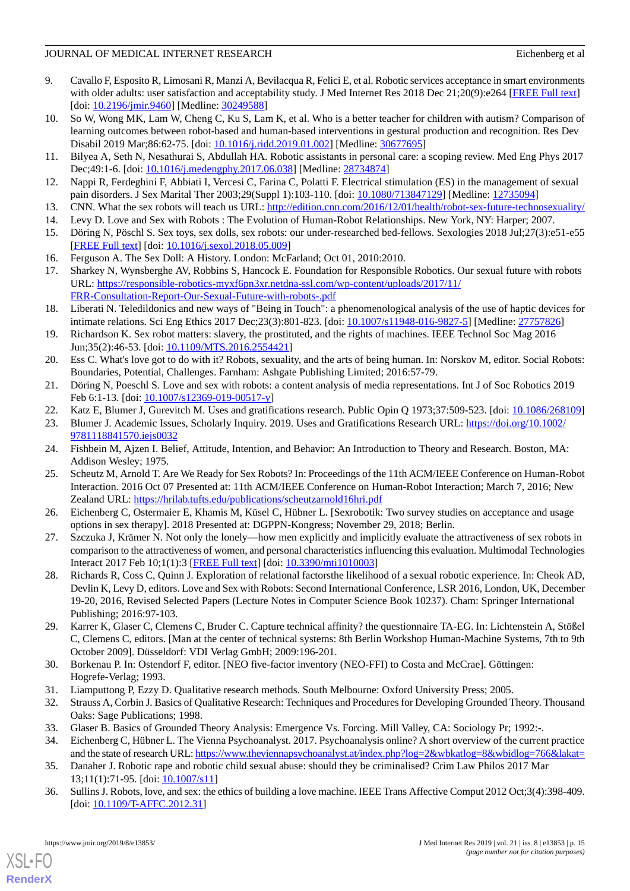- <span id="page-14-0"></span>9. Cavallo F, Esposito R, Limosani R, Manzi A, Bevilacqua R, Felici E, et al. Robotic services acceptance in smart environments with older adults: user satisfaction and acceptability study. J Med Internet Res 2018 Dec 21;20(9):e264 [[FREE Full text](http://www.jmir.org/2018/9/e264/)] [doi: [10.2196/jmir.9460\]](http://dx.doi.org/10.2196/jmir.9460) [Medline: [30249588\]](http://www.ncbi.nlm.nih.gov/entrez/query.fcgi?cmd=Retrieve&db=PubMed&list_uids=30249588&dopt=Abstract)
- <span id="page-14-1"></span>10. So W, Wong MK, Lam W, Cheng C, Ku S, Lam K, et al. Who is a better teacher for children with autism? Comparison of learning outcomes between robot-based and human-based interventions in gestural production and recognition. Res Dev Disabil 2019 Mar;86:62-75. [doi: [10.1016/j.ridd.2019.01.002\]](http://dx.doi.org/10.1016/j.ridd.2019.01.002) [Medline: [30677695](http://www.ncbi.nlm.nih.gov/entrez/query.fcgi?cmd=Retrieve&db=PubMed&list_uids=30677695&dopt=Abstract)]
- <span id="page-14-3"></span><span id="page-14-2"></span>11. Bilyea A, Seth N, Nesathurai S, Abdullah HA. Robotic assistants in personal care: a scoping review. Med Eng Phys 2017 Dec;49:1-6. [doi: [10.1016/j.medengphy.2017.06.038\]](http://dx.doi.org/10.1016/j.medengphy.2017.06.038) [Medline: [28734874\]](http://www.ncbi.nlm.nih.gov/entrez/query.fcgi?cmd=Retrieve&db=PubMed&list_uids=28734874&dopt=Abstract)
- <span id="page-14-4"></span>12. Nappi R, Ferdeghini F, Abbiati I, Vercesi C, Farina C, Polatti F. Electrical stimulation (ES) in the management of sexual pain disorders. J Sex Marital Ther 2003;29(Suppl 1):103-110. [doi: [10.1080/713847129](http://dx.doi.org/10.1080/713847129)] [Medline: [12735094\]](http://www.ncbi.nlm.nih.gov/entrez/query.fcgi?cmd=Retrieve&db=PubMed&list_uids=12735094&dopt=Abstract)
- <span id="page-14-6"></span><span id="page-14-5"></span>13. CNN. What the sex robots will teach us URL:<http://edition.cnn.com/2016/12/01/health/robot-sex-future-technosexuality/>
- 14. Levy D. Love and Sex with Robots : The Evolution of Human-Robot Relationships. New York, NY: Harper; 2007.
- <span id="page-14-8"></span><span id="page-14-7"></span>15. Döring N, Pöschl S. Sex toys, sex dolls, sex robots: our under-researched bed-fellows. Sexologies 2018 Jul;27(3):e51-e55 [[FREE Full text](https://doi.org/10.1016/j.sexol.2018.05.009)] [doi: [10.1016/j.sexol.2018.05.009\]](http://dx.doi.org/10.1016/j.sexol.2018.05.009)
- 16. Ferguson A. The Sex Doll: A History. London: McFarland; Oct 01, 2010:2010.
- <span id="page-14-9"></span>17. Sharkey N, Wynsberghe AV, Robbins S, Hancock E. Foundation for Responsible Robotics. Our sexual future with robots URL: [https://responsible-robotics-myxf6pn3xr.netdna-ssl.com/wp-content/uploads/2017/11/](https://responsible-robotics-myxf6pn3xr.netdna-ssl.com/wp-content/uploads/2017/11/FRR-Consultation-Report-Our-Sexual-Future-with-robots-.pdf) [FRR-Consultation-Report-Our-Sexual-Future-with-robots-.pdf](https://responsible-robotics-myxf6pn3xr.netdna-ssl.com/wp-content/uploads/2017/11/FRR-Consultation-Report-Our-Sexual-Future-with-robots-.pdf)
- <span id="page-14-10"></span>18. Liberati N. Teledildonics and new ways of "Being in Touch": a phenomenological analysis of the use of haptic devices for intimate relations. Sci Eng Ethics 2017 Dec;23(3):801-823. [doi: [10.1007/s11948-016-9827-5](http://dx.doi.org/10.1007/s11948-016-9827-5)] [Medline: [27757826](http://www.ncbi.nlm.nih.gov/entrez/query.fcgi?cmd=Retrieve&db=PubMed&list_uids=27757826&dopt=Abstract)]
- <span id="page-14-11"></span>19. Richardson K. Sex robot matters: slavery, the prostituted, and the rights of machines. IEEE Technol Soc Mag 2016 Jun;35(2):46-53. [doi: [10.1109/MTS.2016.2554421](http://dx.doi.org/10.1109/MTS.2016.2554421)]
- <span id="page-14-13"></span><span id="page-14-12"></span>20. Ess C. What's love got to do with it? Robots, sexuality, and the arts of being human. In: Norskov M, editor. Social Robots: Boundaries, Potential, Challenges. Farnham: Ashgate Publishing Limited; 2016:57-79.
- <span id="page-14-14"></span>21. Döring N, Poeschl S. Love and sex with robots: a content analysis of media representations. Int J of Soc Robotics 2019 Feb 6:1-13. [doi: [10.1007/s12369-019-00517-y\]](http://dx.doi.org/10.1007/s12369-019-00517-y)
- <span id="page-14-15"></span>22. Katz E, Blumer J, Gurevitch M. Uses and gratifications research. Public Opin Q 1973;37:509-523. [doi: [10.1086/268109](http://dx.doi.org/10.1086/268109)]
- <span id="page-14-16"></span>23. Blumer J. Academic Issues, Scholarly Inquiry. 2019. Uses and Gratifications Research URL: [https://doi.org/10.1002/](https://doi.org/10.1002/9781118841570.iejs0032) [9781118841570.iejs0032](https://doi.org/10.1002/9781118841570.iejs0032)
- <span id="page-14-17"></span>24. Fishbein M, Ajzen I. Belief, Attitude, Intention, and Behavior: An Introduction to Theory and Research. Boston, MA: Addison Wesley; 1975.
- <span id="page-14-18"></span>25. Scheutz M, Arnold T. Are We Ready for Sex Robots? In: Proceedings of the 11th ACM/IEEE Conference on Human-Robot Interaction. 2016 Oct 07 Presented at: 11th ACM/IEEE Conference on Human-Robot Interaction; March 7, 2016; New Zealand URL:<https://hrilab.tufts.edu/publications/scheutzarnold16hri.pdf>
- <span id="page-14-19"></span>26. Eichenberg C, Ostermaier E, Khamis M, Küsel C, Hübner L. [Sexrobotik: Two survey studies on acceptance and usage options in sex therapy]. 2018 Presented at: DGPPN-Kongress; November 29, 2018; Berlin.
- 27. Szczuka J, Krämer N. Not only the lonely—how men explicitly and implicitly evaluate the attractiveness of sex robots in comparison to the attractiveness of women, and personal characteristics influencing this evaluation. Multimodal Technologies Interact 2017 Feb 10;1(1):3 [[FREE Full text](https://www.mdpi.com/2414-4088/1/1/3)] [doi: [10.3390/mti1010003\]](http://dx.doi.org/10.3390/mti1010003)
- <span id="page-14-21"></span><span id="page-14-20"></span>28. Richards R, Coss C, Quinn J. Exploration of relational factorsthe likelihood of a sexual robotic experience. In: Cheok AD, Devlin K, Levy D, editors. Love and Sex with Robots: Second International Conference, LSR 2016, London, UK, December 19-20, 2016, Revised Selected Papers (Lecture Notes in Computer Science Book 10237). Cham: Springer International Publishing; 2016:97-103.
- <span id="page-14-23"></span><span id="page-14-22"></span>29. Karrer K, Glaser C, Clemens C, Bruder C. Capture technical affinity? the questionnaire TA-EG. In: Lichtenstein A, Stößel C, Clemens C, editors. [Man at the center of technical systems: 8th Berlin Workshop Human-Machine Systems, 7th to 9th October 2009]. Düsseldorf: VDI Verlag GmbH; 2009:196-201.
- <span id="page-14-25"></span><span id="page-14-24"></span>30. Borkenau P. In: Ostendorf F, editor. [NEO five-factor inventory (NEO-FFI) to Costa and McCrae]. Göttingen: Hogrefe-Verlag; 1993.
- <span id="page-14-26"></span>31. Liamputtong P, Ezzy D. Qualitative research methods. South Melbourne: Oxford University Press; 2005.
- <span id="page-14-27"></span>32. Strauss A, Corbin J. Basics of Qualitative Research: Techniques and Procedures for Developing Grounded Theory. Thousand Oaks: Sage Publications; 1998.
- 33. Glaser B. Basics of Grounded Theory Analysis: Emergence Vs. Forcing. Mill Valley, CA: Sociology Pr; 1992:-.
- 34. Eichenberg C, Hübner L. The Vienna Psychoanalyst. 2017. Psychoanalysis online? A short overview of the current practice and the state of research URL:<https://www.theviennapsychoanalyst.at/index.php?log=2&wbkatlog=8&wbidlog=766&lakat=>
- 35. Danaher J. Robotic rape and robotic child sexual abuse: should they be criminalised? Crim Law Philos 2017 Mar 13;11(1):71-95. [doi: [10.1007/s11\]](http://dx.doi.org/10.1007/s11)
- 36. Sullins J. Robots, love, and sex: the ethics of building a love machine. IEEE Trans Affective Comput 2012 Oct;3(4):398-409. [doi: [10.1109/T-AFFC.2012.31\]](http://dx.doi.org/10.1109/T-AFFC.2012.31)

[XSL](http://www.w3.org/Style/XSL)•FO **[RenderX](http://www.renderx.com/)**